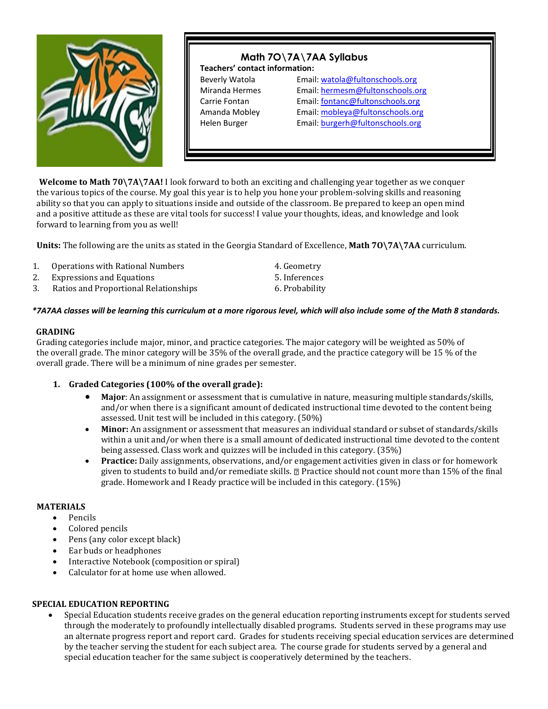

# **Math 7O\7A\7AA Syllabus Teachers' contact information:**  Beverly Watola Email[: watola@fultonschools.org](mailto:watola@fultonschools.org) Miranda Hermes Email[: hermesm@fultonschools.org](mailto:hermesm@fultonschools.org) Carrie Fontan Email[: fontanc@fultonschools.org](mailto:fontanc@fultonschools.org) Amanda Mobley Email: mobleya@fultonschools.org Helen Burger **Email:** burgerh@fultonschools.org

**Welcome to Math 70\7A\7AA!** I look forward to both an exciting and challenging year together as we conquer the various topics of the course. My goal this year is to help you hone your problem-solving skills and reasoning ability so that you can apply to situations inside and outside of the classroom. Be prepared to keep an open mind and a positive attitude as these are vital tools for success! I value your thoughts, ideas, and knowledge and look forward to learning from you as well!

**Units:** The following are the units as stated in the Georgia Standard of Excellence, **Math 7O\7A\7AA** curriculum.

| 1. | Operations with Rational Numbers      | 4. Geometry    |
|----|---------------------------------------|----------------|
| 2. | <b>Expressions and Equations</b>      | 5. Inferences  |
| 3. | Ratios and Proportional Relationships | 6. Probability |

## *\*7A7AA classes will be learning this curriculum at a more rigorous level, which will also include some of the Math 8 standards.*

## **GRADING**

Grading categories include major, minor, and practice categories. The major category will be weighted as 50% of the overall grade. The minor category will be 35% of the overall grade, and the practice category will be 15 % of the overall grade. There will be a minimum of nine grades per semester.

# **1. Graded Categories (100% of the overall grade):**

- **Major**: An assignment or assessment that is cumulative in nature, measuring multiple standards/skills, and/or when there is a significant amount of dedicated instructional time devoted to the content being assessed. Unit test will be included in this category. (50%)
- Minor: An assignment or assessment that measures an individual standard or subset of standards/skills within a unit and/or when there is a small amount of dedicated instructional time devoted to the content being assessed. Class work and quizzes will be included in this category. (35%)
- **Practice:** Daily assignments, observations, and/or engagement activities given in class or for homework given to students to build and/or remediate skills. Practice should not count more than 15% of the final grade. Homework and I Ready practice will be included in this category. (15%)

## **MATERIALS**

- Pencils
- Colored pencils
- Pens (any color except black)
- Ear buds or headphones
- Interactive Notebook (composition or spiral)
- Calculator for at home use when allowed.

## **SPECIAL EDUCATION REPORTING**

• Special Education students receive grades on the general education reporting instruments except for students served through the moderately to profoundly intellectually disabled programs. Students served in these programs may use an alternate progress report and report card. Grades for students receiving special education services are determined by the teacher serving the student for each subject area. The course grade for students served by a general and special education teacher for the same subject is cooperatively determined by the teachers.